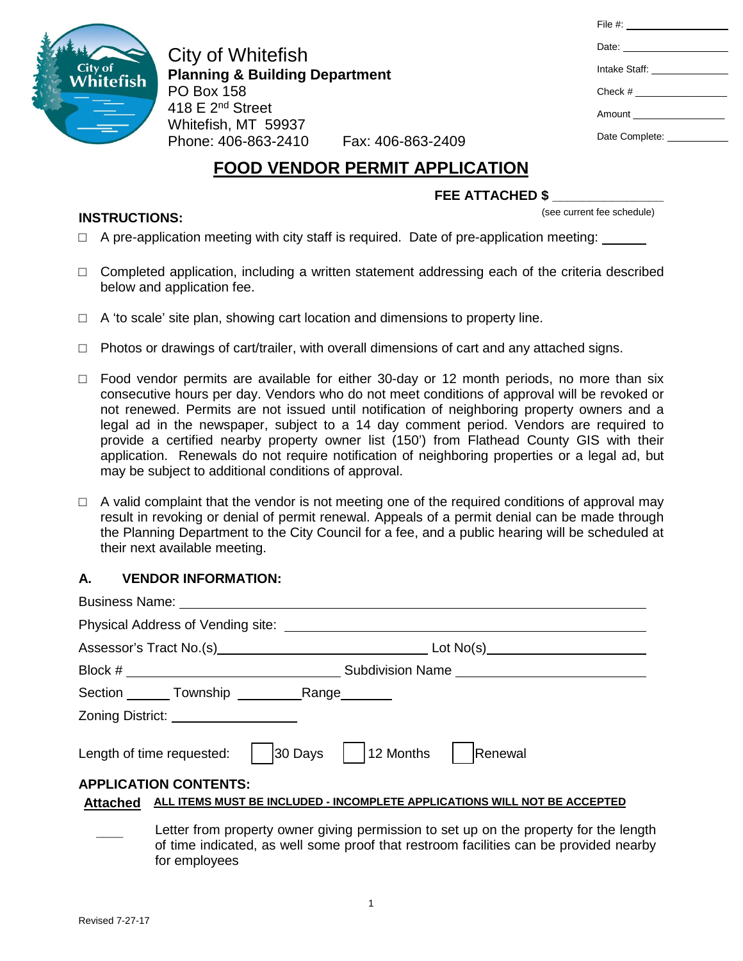

**INSTRUCTIONS:**

City of Whitefish **Planning & Building Department** PO Box 158 418 E 2<sup>nd</sup> Street Whitefish, MT 59937 Phone: 406-863-2410 Fax: 406-863-2409

| File #: ___________________   |
|-------------------------------|
| Date: _______________________ |
| Intake Staff: _______________ |
|                               |
|                               |
| Date Complete:                |
|                               |

# **FOOD VENDOR PERMIT APPLICATION**

### **FEE ATTACHED \$ \_\_\_\_\_\_\_\_\_\_\_\_\_\_\_**

(see current fee schedule)

- $\Box$  A pre-application meeting with city staff is required. Date of pre-application meeting:
- $\Box$  Completed application, including a written statement addressing each of the criteria described below and application fee.
- $\Box$  A 'to scale' site plan, showing cart location and dimensions to property line.
- $\Box$  Photos or drawings of cart/trailer, with overall dimensions of cart and any attached signs.
- $\Box$  Food vendor permits are available for either 30-day or 12 month periods, no more than six consecutive hours per day. Vendors who do not meet conditions of approval will be revoked or not renewed. Permits are not issued until notification of neighboring property owners and a legal ad in the newspaper, subject to a 14 day comment period. Vendors are required to provide a certified nearby property owner list (150') from Flathead County GIS with their application. Renewals do not require notification of neighboring properties or a legal ad, but may be subject to additional conditions of approval.
- $\Box$  A valid complaint that the vendor is not meeting one of the required conditions of approval may result in revoking or denial of permit renewal. Appeals of a permit denial can be made through the Planning Department to the City Council for a fee, and a public hearing will be scheduled at their next available meeting.

#### **A. VENDOR INFORMATION:**

|                              | Zoning District: _____________________ |                                                                                                                                                                                |  |  |
|------------------------------|----------------------------------------|--------------------------------------------------------------------------------------------------------------------------------------------------------------------------------|--|--|
|                              |                                        | Length of time requested:   30 Days   12 Months   Renewal                                                                                                                      |  |  |
| <b>APPLICATION CONTENTS:</b> |                                        |                                                                                                                                                                                |  |  |
|                              |                                        | Attached ALL ITEMS MUST BE INCLUDED - INCOMPLETE APPLICATIONS WILL NOT BE ACCEPTED                                                                                             |  |  |
|                              |                                        | Letter from property owner giving permission to set up on the property for the length<br>of time indicated, as well some proof that restroom facilities can be provided nearby |  |  |

for employees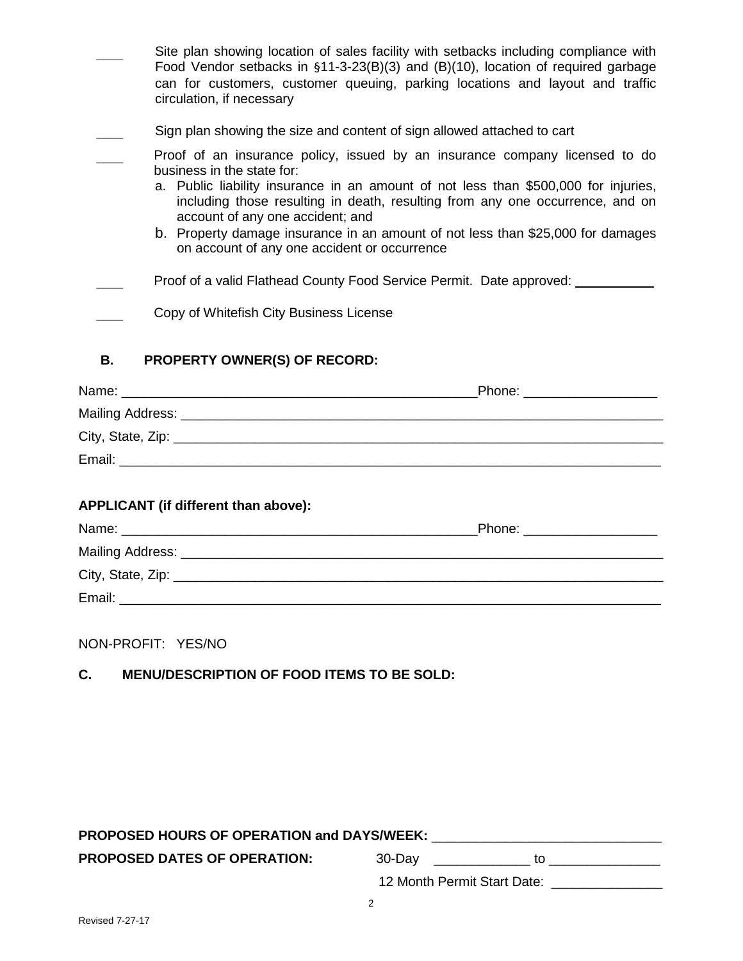|    | Site plan showing location of sales facility with setbacks including compliance with<br>Food Vendor setbacks in $$11-3-23(B)(3)$ and $(B)(10)$ , location of required garbage<br>can for customers, customer queuing, parking locations and layout and traffic<br>circulation, if necessary                                                                                                                                                              |
|----|----------------------------------------------------------------------------------------------------------------------------------------------------------------------------------------------------------------------------------------------------------------------------------------------------------------------------------------------------------------------------------------------------------------------------------------------------------|
|    | Sign plan showing the size and content of sign allowed attached to cart                                                                                                                                                                                                                                                                                                                                                                                  |
|    | Proof of an insurance policy, issued by an insurance company licensed to do<br>business in the state for:<br>a. Public liability insurance in an amount of not less than \$500,000 for injuries,<br>including those resulting in death, resulting from any one occurrence, and on<br>account of any one accident; and<br>b. Property damage insurance in an amount of not less than \$25,000 for damages<br>on account of any one accident or occurrence |
|    | Proof of a valid Flathead County Food Service Permit. Date approved:                                                                                                                                                                                                                                                                                                                                                                                     |
|    | Copy of Whitefish City Business License                                                                                                                                                                                                                                                                                                                                                                                                                  |
| В. | <b>PROPERTY OWNER(S) OF RECORD:</b>                                                                                                                                                                                                                                                                                                                                                                                                                      |

|        | Phone: ________________ |
|--------|-------------------------|
|        |                         |
|        |                         |
| Email: |                         |
|        |                         |

## **APPLICANT (if different than above):**

| Name:                                                          | Phone: |
|----------------------------------------------------------------|--------|
| Mailing Address: __                                            |        |
| City, State, Zip: 2008. Experience of the State of Table 2014. |        |
| Email:                                                         |        |

NON-PROFIT: YES/NO

## **C. MENU/DESCRIPTION OF FOOD ITEMS TO BE SOLD:**

# **PROPOSED HOURS OF OPERATION and DAYS/WEEK:** \_\_\_\_\_\_\_\_\_\_\_\_\_\_\_\_\_\_\_\_\_\_\_\_\_\_\_\_\_\_\_

**PROPOSED DATES OF OPERATION:** 30-Day \_\_\_\_\_\_\_\_\_\_\_\_\_ to \_\_\_\_\_\_\_\_\_\_\_\_\_\_\_

12 Month Permit Start Date: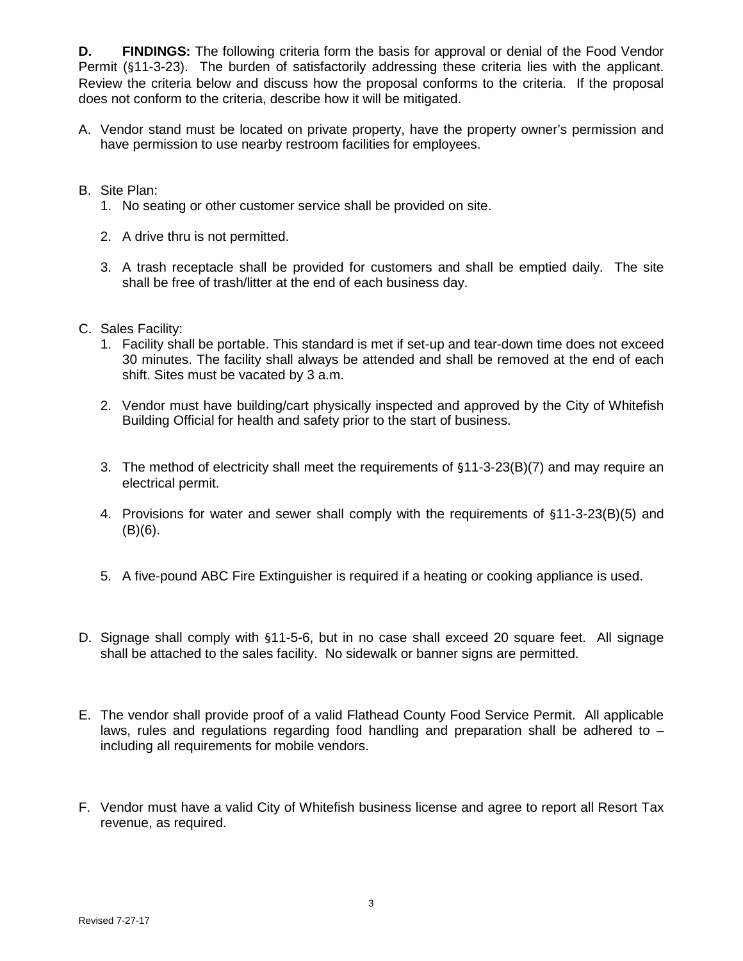**D. FINDINGS:** The following criteria form the basis for approval or denial of the Food Vendor Permit (§11-3-23). The burden of satisfactorily addressing these criteria lies with the applicant. Review the criteria below and discuss how the proposal conforms to the criteria. If the proposal does not conform to the criteria, describe how it will be mitigated.

- A. Vendor stand must be located on private property, have the property owner's permission and have permission to use nearby restroom facilities for employees.
- B. Site Plan:
	- 1. No seating or other customer service shall be provided on site.
	- 2. A drive thru is not permitted.
	- 3. A trash receptacle shall be provided for customers and shall be emptied daily. The site shall be free of trash/litter at the end of each business day.
- C. Sales Facility:
	- 1. Facility shall be portable. This standard is met if set-up and tear-down time does not exceed 30 minutes. The facility shall always be attended and shall be removed at the end of each shift. Sites must be vacated by 3 a.m.
	- 2. Vendor must have building/cart physically inspected and approved by the City of Whitefish Building Official for health and safety prior to the start of business.
	- 3. The method of electricity shall meet the requirements of §11-3-23(B)(7) and may require an electrical permit.
	- 4. Provisions for water and sewer shall comply with the requirements of §11-3-23(B)(5) and  $(B)(6)$ .
	- 5. A five-pound ABC Fire Extinguisher is required if a heating or cooking appliance is used.
- D. Signage shall comply with §11-5-6, but in no case shall exceed 20 square feet. All signage shall be attached to the sales facility. No sidewalk or banner signs are permitted.
- E. The vendor shall provide proof of a valid Flathead County Food Service Permit. All applicable laws, rules and regulations regarding food handling and preparation shall be adhered to  $$ including all requirements for mobile vendors.
- F. Vendor must have a valid City of Whitefish business license and agree to report all Resort Tax revenue, as required.